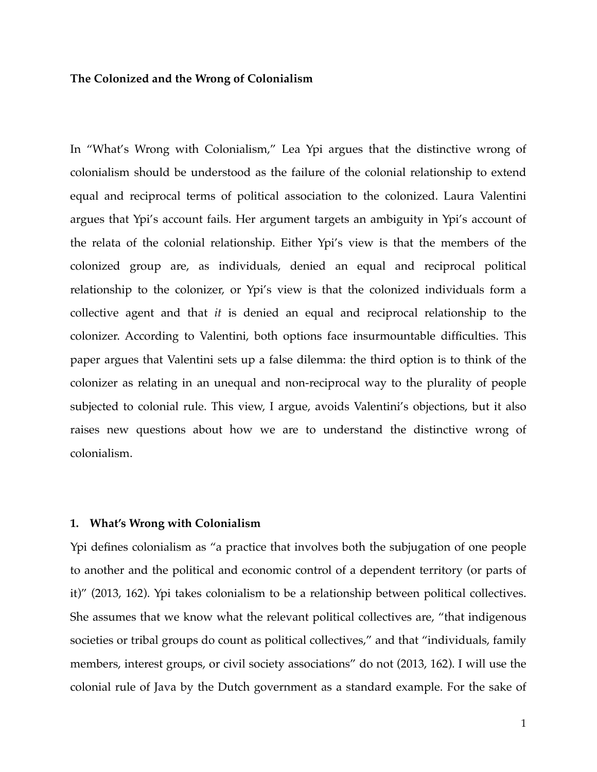#### **The Colonized and the Wrong of Colonialism**

In "What's Wrong with Colonialism," Lea Ypi argues that the distinctive wrong of colonialism should be understood as the failure of the colonial relationship to extend equal and reciprocal terms of political association to the colonized. Laura Valentini argues that Ypi's account fails. Her argument targets an ambiguity in Ypi's account of the relata of the colonial relationship. Either Ypi's view is that the members of the colonized group are, as individuals, denied an equal and reciprocal political relationship to the colonizer, or Ypi's view is that the colonized individuals form a collective agent and that *it* is denied an equal and reciprocal relationship to the colonizer. According to Valentini, both options face insurmountable difficulties. This paper argues that Valentini sets up a false dilemma: the third option is to think of the colonizer as relating in an unequal and non-reciprocal way to the plurality of people subjected to colonial rule. This view, I argue, avoids Valentini's objections, but it also raises new questions about how we are to understand the distinctive wrong of colonialism.

# **1. What's Wrong with Colonialism**

Ypi defines colonialism as "a practice that involves both the subjugation of one people to another and the political and economic control of a dependent territory (or parts of it)" (2013, 162). Ypi takes colonialism to be a relationship between political collectives. She assumes that we know what the relevant political collectives are, "that indigenous societies or tribal groups do count as political collectives," and that "individuals, family members, interest groups, or civil society associations" do not (2013, 162). I will use the colonial rule of Java by the Dutch government as a standard example. For the sake of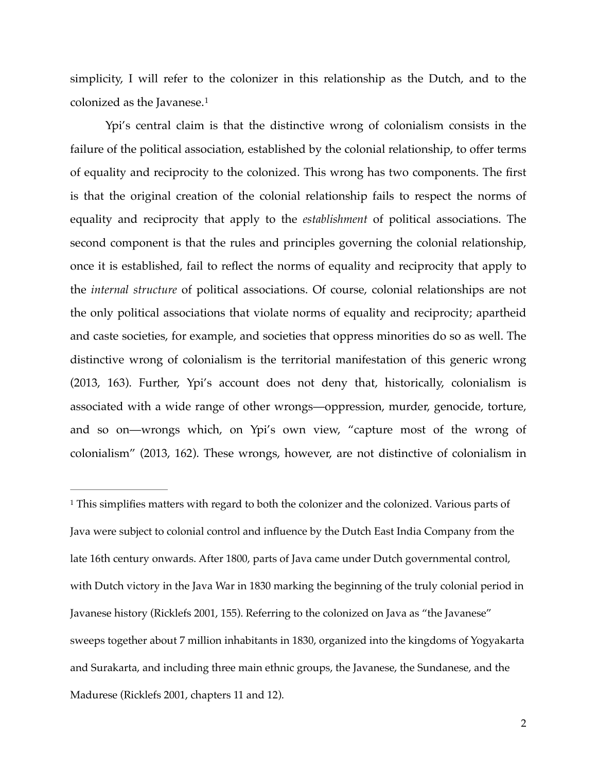<span id="page-1-1"></span>simplicity, I will refer to the colonizer in this relationship as the Dutch, and to the colonized as the Javanese.[1](#page-1-0)

Ypi's central claim is that the distinctive wrong of colonialism consists in the failure of the political association, established by the colonial relationship, to offer terms of equality and reciprocity to the colonized. This wrong has two components. The first is that the original creation of the colonial relationship fails to respect the norms of equality and reciprocity that apply to the *establishment* of political associations. The second component is that the rules and principles governing the colonial relationship, once it is established, fail to reflect the norms of equality and reciprocity that apply to the *internal structure* of political associations. Of course, colonial relationships are not the only political associations that violate norms of equality and reciprocity; apartheid and caste societies, for example, and societies that oppress minorities do so as well. The distinctive wrong of colonialism is the territorial manifestation of this generic wrong (2013, 163). Further, Ypi's account does not deny that, historically, colonialism is associated with a wide range of other wrongs—oppression, murder, genocide, torture, and so on—wrongs which, on Ypi's own view, "capture most of the wrong of colonialism" (2013, 162). These wrongs, however, are not distinctive of colonialism in

<span id="page-1-0"></span><sup>&</sup>lt;sup>1</sup>This simplifies matters with regard to both the colonizer and the colonized. Various parts of Java were subject to colonial control and influence by the Dutch East India Company from the late 16th century onwards. After 1800, parts of Java came under Dutch governmental control, with Dutch victory in the Java War in 1830 marking the beginning of the truly colonial period in Javanese history (Ricklefs 2001, 155). Referring to the colonized on Java as "the Javanese" sweeps together about 7 million inhabitants in 1830, organized into the kingdoms of Yogyakarta and Surakarta, and including three main ethnic groups, the Javanese, the Sundanese, and the Madurese (Ricklefs 2001, chapters 11 and 12).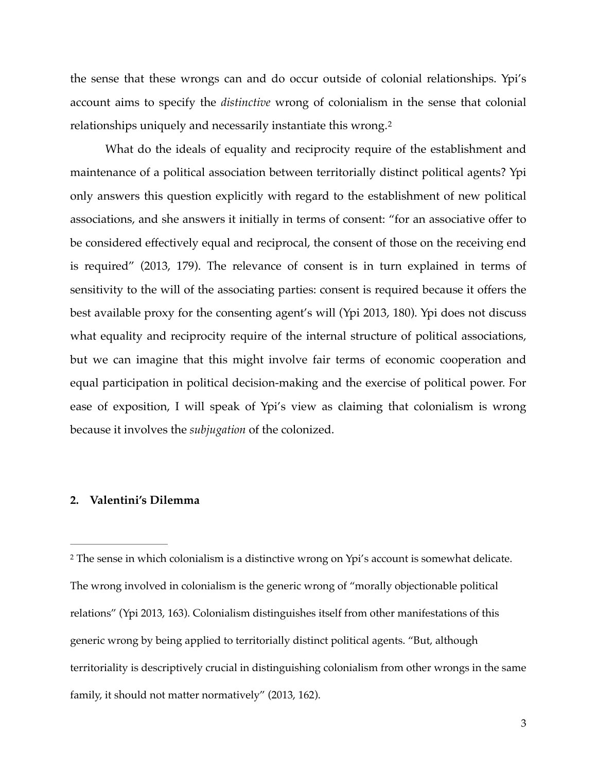the sense that these wrongs can and do occur outside of colonial relationships. Ypi's account aims to specify the *distinctive* wrong of colonialism in the sense that colonial relationships uniquely and necessarily instantiate this wrong.[2](#page-2-0)

<span id="page-2-1"></span>What do the ideals of equality and reciprocity require of the establishment and maintenance of a political association between territorially distinct political agents? Ypi only answers this question explicitly with regard to the establishment of new political associations, and she answers it initially in terms of consent: "for an associative offer to be considered effectively equal and reciprocal, the consent of those on the receiving end is required" (2013, 179). The relevance of consent is in turn explained in terms of sensitivity to the will of the associating parties: consent is required because it offers the best available proxy for the consenting agent's will (Ypi 2013, 180). Ypi does not discuss what equality and reciprocity require of the internal structure of political associations, but we can imagine that this might involve fair terms of economic cooperation and equal participation in political decision-making and the exercise of political power. For ease of exposition, I will speak of Ypi's view as claiming that colonialism is wrong because it involves the *subjugation* of the colonized.

## **2. Valentini's Dilemma**

<span id="page-2-0"></span><sup>[2](#page-2-1)</sup> The sense in which colonialism is a distinctive wrong on Ypi's account is somewhat delicate. The wrong involved in colonialism is the generic wrong of "morally objectionable political relations" (Ypi 2013, 163). Colonialism distinguishes itself from other manifestations of this generic wrong by being applied to territorially distinct political agents. "But, although territoriality is descriptively crucial in distinguishing colonialism from other wrongs in the same family, it should not matter normatively" (2013, 162).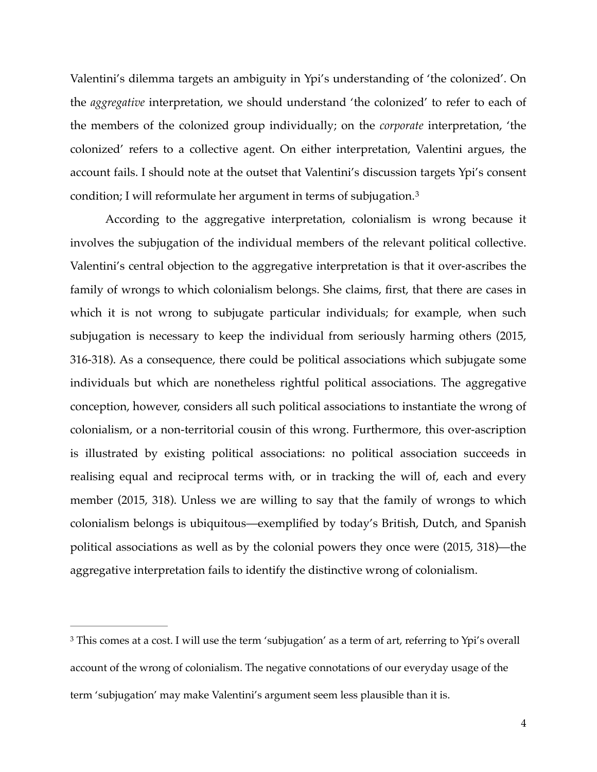Valentini's dilemma targets an ambiguity in Ypi's understanding of 'the colonized'. On the *aggregative* interpretation, we should understand 'the colonized' to refer to each of the members of the colonized group individually; on the *corporate* interpretation, 'the colonized' refers to a collective agent. On either interpretation, Valentini argues, the account fails. I should note at the outset that Valentini's discussion targets Ypi's consent condition; I will reformulate her argument in terms of subjugation.[3](#page-3-0)

<span id="page-3-1"></span>According to the aggregative interpretation, colonialism is wrong because it involves the subjugation of the individual members of the relevant political collective. Valentini's central objection to the aggregative interpretation is that it over-ascribes the family of wrongs to which colonialism belongs. She claims, first, that there are cases in which it is not wrong to subjugate particular individuals; for example, when such subjugation is necessary to keep the individual from seriously harming others (2015, 316-318). As a consequence, there could be political associations which subjugate some individuals but which are nonetheless rightful political associations. The aggregative conception, however, considers all such political associations to instantiate the wrong of colonialism, or a non-territorial cousin of this wrong. Furthermore, this over-ascription is illustrated by existing political associations: no political association succeeds in realising equal and reciprocal terms with, or in tracking the will of, each and every member (2015, 318). Unless we are willing to say that the family of wrongs to which colonialism belongs is ubiquitous—exemplified by today's British, Dutch, and Spanish political associations as well as by the colonial powers they once were (2015, 318)—the aggregative interpretation fails to identify the distinctive wrong of colonialism.

<span id="page-3-0"></span><sup>&</sup>lt;sup>[3](#page-3-1)</sup> This comes at a cost. I will use the term 'subjugation' as a term of art, referring to Ypi's overall account of the wrong of colonialism. The negative connotations of our everyday usage of the term 'subjugation' may make Valentini's argument seem less plausible than it is.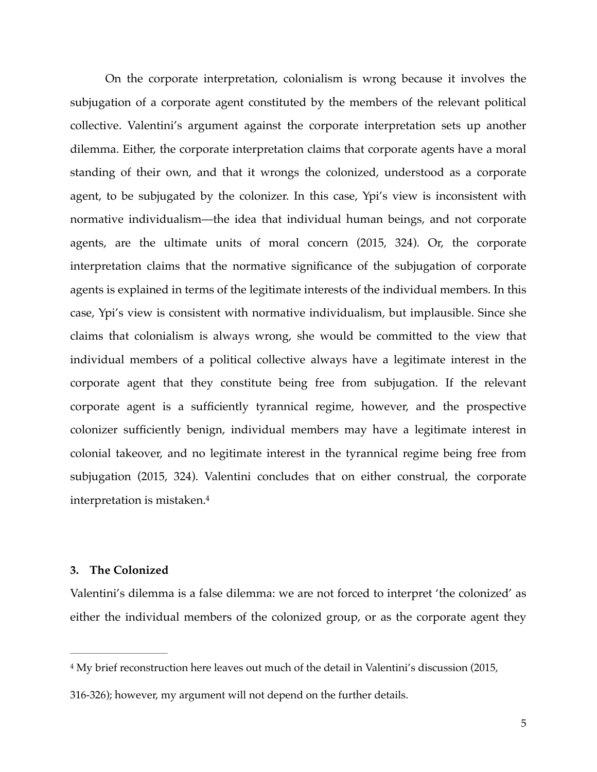On the corporate interpretation, colonialism is wrong because it involves the subjugation of a corporate agent constituted by the members of the relevant political collective. Valentini's argument against the corporate interpretation sets up another dilemma. Either, the corporate interpretation claims that corporate agents have a moral standing of their own, and that it wrongs the colonized, understood as a corporate agent, to be subjugated by the colonizer. In this case, Ypi's view is inconsistent with normative individualism—the idea that individual human beings, and not corporate agents, are the ultimate units of moral concern (2015, 324). Or, the corporate interpretation claims that the normative significance of the subjugation of corporate agents is explained in terms of the legitimate interests of the individual members. In this case, Ypi's view is consistent with normative individualism, but implausible. Since she claims that colonialism is always wrong, she would be committed to the view that individual members of a political collective always have a legitimate interest in the corporate agent that they constitute being free from subjugation. If the relevant corporate agent is a sufficiently tyrannical regime, however, and the prospective colonizer sufficiently benign, individual members may have a legitimate interest in colonial takeover, and no legitimate interest in the tyrannical regime being free from subjugation (2015, 324). Valentini concludes that on either construal, the corporate interpretation is mistaken[.4](#page-4-0)

### <span id="page-4-1"></span>**3. The Colonized**

Valentini's dilemma is a false dilemma: we are not forced to interpret 'the colonized' as either the individual members of the colonized group, or as the corporate agent they

<span id="page-4-0"></span><sup>&</sup>lt;sup>[4](#page-4-1)</sup> My brief reconstruction here leaves out much of the detail in Valentini's discussion (2015,

<sup>316-326);</sup> however, my argument will not depend on the further details.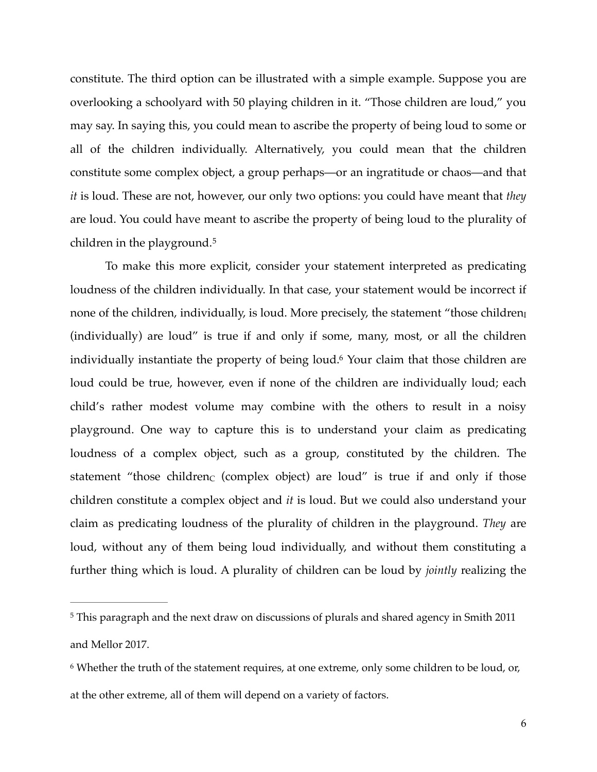constitute. The third option can be illustrated with a simple example. Suppose you are overlooking a schoolyard with 50 playing children in it. "Those children are loud," you may say. In saying this, you could mean to ascribe the property of being loud to some or all of the children individually. Alternatively, you could mean that the children constitute some complex object, a group perhaps—or an ingratitude or chaos—and that *it* is loud. These are not, however, our only two options: you could have meant that *they* are loud. You could have meant to ascribe the property of being loud to the plurality of children in the playground.[5](#page-5-0)

<span id="page-5-3"></span><span id="page-5-2"></span>To make this more explicit, consider your statement interpreted as predicating loudness of the children individually. In that case, your statement would be incorrect if none of the children, individually, is loud. More precisely, the statement "those children<sub>I</sub> (individually) are loud" is true if and only if some, many, most, or all the children individually instantiate the property of being loud.<sup>[6](#page-5-1)</sup> Your claim that those children are loud could be true, however, even if none of the children are individually loud; each child's rather modest volume may combine with the others to result in a noisy playground. One way to capture this is to understand your claim as predicating loudness of a complex object, such as a group, constituted by the children. The statement "those children $C$  (complex object) are loud" is true if and only if those children constitute a complex object and *it* is loud. But we could also understand your claim as predicating loudness of the plurality of children in the playground. *They* are loud, without any of them being loud individually, and without them constituting a further thing which is loud. A plurality of children can be loud by *jointly* realizing the

<span id="page-5-0"></span><sup>&</sup>lt;sup>[5](#page-5-2)</sup> This paragraph and the next draw on discussions of plurals and shared agency in Smith 2011 and Mellor 2017.

<span id="page-5-1"></span><sup>&</sup>lt;sup>[6](#page-5-3)</sup> Whether the truth of the statement requires, at one extreme, only some children to be loud, or, at the other extreme, all of them will depend on a variety of factors.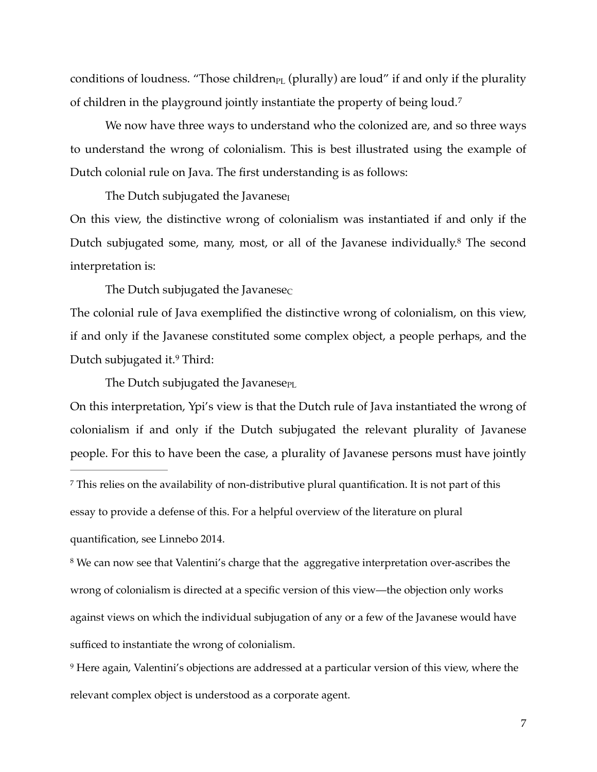conditions of loudness. "Those children $_{PL}$  (plurally) are loud" if and only if the plurality of children in the playground jointly instantiate the property of being loud.[7](#page-6-0)

We now have three ways to understand who the colonized are, and so three ways to understand the wrong of colonialism. This is best illustrated using the example of Dutch colonial rule on Java. The first understanding is as follows:

<span id="page-6-4"></span><span id="page-6-3"></span>The Dutch subjugated the Javanese<sub>I</sub>

On this view, the distinctive wrong of colonialism was instantiated if and only if the Dutch subjugated some, many, most, or all of the Javanese individually[.](#page-6-1)<sup>[8](#page-6-1)</sup> The second interpretation is:

The Dutch subjugated the Javanese $<sub>C</sub>$ </sub>

The colonial rule of Java exemplified the distinctive wrong of colonialism, on this view, if and only if the Javanese constituted some complex object, a people perhaps, and the Dutchsubjugated it. $9$  Third:

<span id="page-6-5"></span>The Dutch subjugated the Javanese $PL$ 

On this interpretation, Ypi's view is that the Dutch rule of Java instantiated the wrong of colonialism if and only if the Dutch subjugated the relevant plurality of Javanese people. For this to have been the case, a plurality of Javanese persons must have jointly

<span id="page-6-0"></span><sup>7</sup>This relies on the availability of non-distributive plural quantification. It is not part of this

essay to provide a defense of this. For a helpful overview of the literature on plural

quantification, see Linnebo 2014.

<span id="page-6-1"></span><sup>[8](#page-6-4)</sup> We can now see that Valentini's charge that the aggregative interpretation over-ascribes the wrong of colonialism is directed at a specific version of this view—the objection only works against views on which the individual subjugation of any or a few of the Javanese would have sufficed to instantiate the wrong of colonialism.

<span id="page-6-2"></span>Here again, Valentini's objections are addressed at a particular version of this view, where the [9](#page-6-5) relevant complex object is understood as a corporate agent.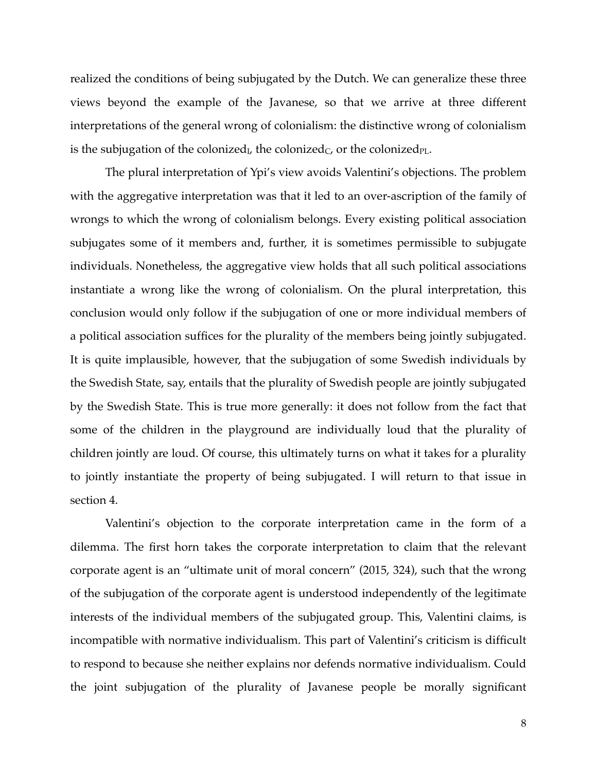realized the conditions of being subjugated by the Dutch. We can generalize these three views beyond the example of the Javanese, so that we arrive at three different interpretations of the general wrong of colonialism: the distinctive wrong of colonialism is the subjugation of the colonized<sub>I</sub>, the colonized<sub>C</sub>, or the colonized<sub>PL</sub>.

The plural interpretation of Ypi's view avoids Valentini's objections. The problem with the aggregative interpretation was that it led to an over-ascription of the family of wrongs to which the wrong of colonialism belongs. Every existing political association subjugates some of it members and, further, it is sometimes permissible to subjugate individuals. Nonetheless, the aggregative view holds that all such political associations instantiate a wrong like the wrong of colonialism. On the plural interpretation, this conclusion would only follow if the subjugation of one or more individual members of a political association suffices for the plurality of the members being jointly subjugated. It is quite implausible, however, that the subjugation of some Swedish individuals by the Swedish State, say, entails that the plurality of Swedish people are jointly subjugated by the Swedish State. This is true more generally: it does not follow from the fact that some of the children in the playground are individually loud that the plurality of children jointly are loud. Of course, this ultimately turns on what it takes for a plurality to jointly instantiate the property of being subjugated. I will return to that issue in section 4.

Valentini's objection to the corporate interpretation came in the form of a dilemma. The first horn takes the corporate interpretation to claim that the relevant corporate agent is an "ultimate unit of moral concern" (2015, 324), such that the wrong of the subjugation of the corporate agent is understood independently of the legitimate interests of the individual members of the subjugated group. This, Valentini claims, is incompatible with normative individualism. This part of Valentini's criticism is difficult to respond to because she neither explains nor defends normative individualism. Could the joint subjugation of the plurality of Javanese people be morally significant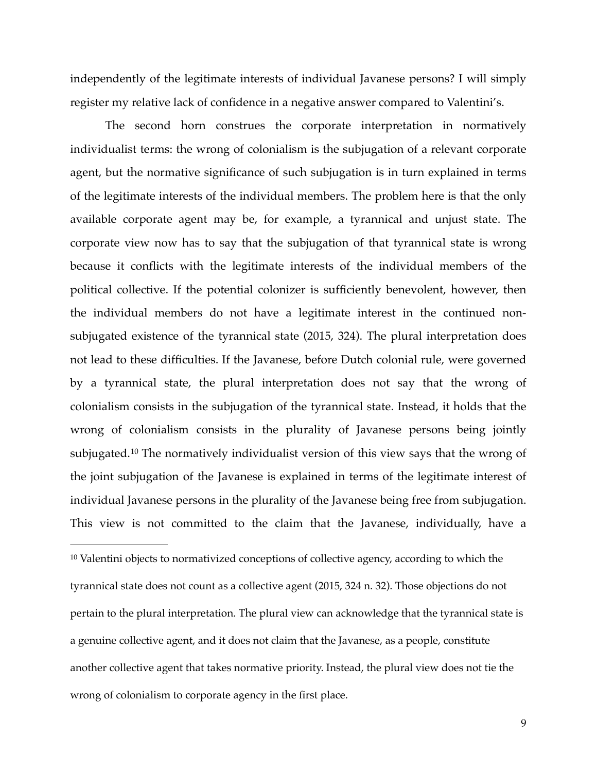independently of the legitimate interests of individual Javanese persons? I will simply register my relative lack of confidence in a negative answer compared to Valentini's.

The second horn construes the corporate interpretation in normatively individualist terms: the wrong of colonialism is the subjugation of a relevant corporate agent, but the normative significance of such subjugation is in turn explained in terms of the legitimate interests of the individual members. The problem here is that the only available corporate agent may be, for example, a tyrannical and unjust state. The corporate view now has to say that the subjugation of that tyrannical state is wrong because it conflicts with the legitimate interests of the individual members of the political collective. If the potential colonizer is sufficiently benevolent, however, then the individual members do not have a legitimate interest in the continued nonsubjugated existence of the tyrannical state (2015, 324). The plural interpretation does not lead to these difficulties. If the Javanese, before Dutch colonial rule, were governed by a tyrannical state, the plural interpretation does not say that the wrong of colonialism consists in the subjugation of the tyrannical state. Instead, it holds that the wrong of colonialism consists in the plurality of Javanese persons being jointly subjugated.<sup>[10](#page-8-0)</sup> The normatively individualist version of this view says that the wrong of the joint subjugation of the Javanese is explained in terms of the legitimate interest of individual Javanese persons in the plurality of the Javanese being free from subjugation. This view is not committed to the claim that the Javanese, individually, have a

<span id="page-8-1"></span><span id="page-8-0"></span> $10$  Valentini objects to normativized conceptions of collective agency, according to which the tyrannical state does not count as a collective agent (2015, 324 n. 32). Those objections do not pertain to the plural interpretation. The plural view can acknowledge that the tyrannical state is a genuine collective agent, and it does not claim that the Javanese, as a people, constitute another collective agent that takes normative priority. Instead, the plural view does not tie the wrong of colonialism to corporate agency in the first place.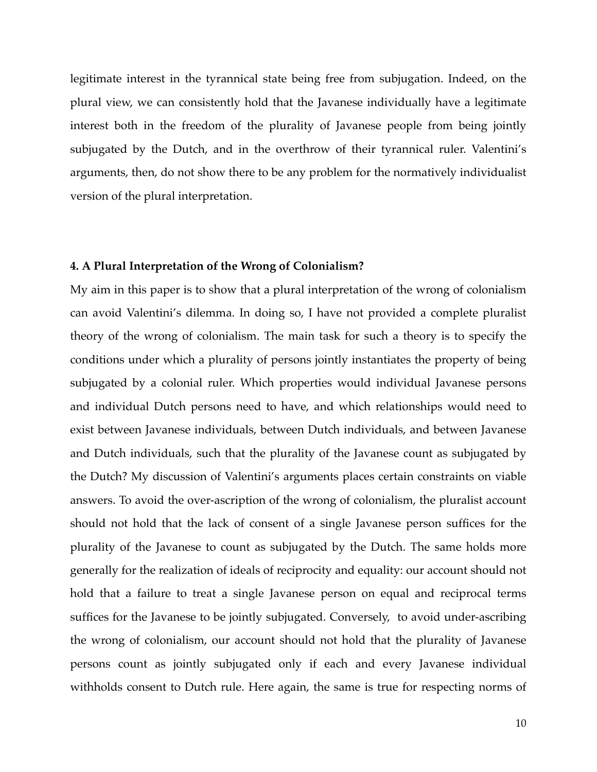legitimate interest in the tyrannical state being free from subjugation. Indeed, on the plural view, we can consistently hold that the Javanese individually have a legitimate interest both in the freedom of the plurality of Javanese people from being jointly subjugated by the Dutch, and in the overthrow of their tyrannical ruler. Valentini's arguments, then, do not show there to be any problem for the normatively individualist version of the plural interpretation.

### **4. A Plural Interpretation of the Wrong of Colonialism?**

My aim in this paper is to show that a plural interpretation of the wrong of colonialism can avoid Valentini's dilemma. In doing so, I have not provided a complete pluralist theory of the wrong of colonialism. The main task for such a theory is to specify the conditions under which a plurality of persons jointly instantiates the property of being subjugated by a colonial ruler. Which properties would individual Javanese persons and individual Dutch persons need to have, and which relationships would need to exist between Javanese individuals, between Dutch individuals, and between Javanese and Dutch individuals, such that the plurality of the Javanese count as subjugated by the Dutch? My discussion of Valentini's arguments places certain constraints on viable answers. To avoid the over-ascription of the wrong of colonialism, the pluralist account should not hold that the lack of consent of a single Javanese person suffices for the plurality of the Javanese to count as subjugated by the Dutch. The same holds more generally for the realization of ideals of reciprocity and equality: our account should not hold that a failure to treat a single Javanese person on equal and reciprocal terms suffices for the Javanese to be jointly subjugated. Conversely, to avoid under-ascribing the wrong of colonialism, our account should not hold that the plurality of Javanese persons count as jointly subjugated only if each and every Javanese individual withholds consent to Dutch rule. Here again, the same is true for respecting norms of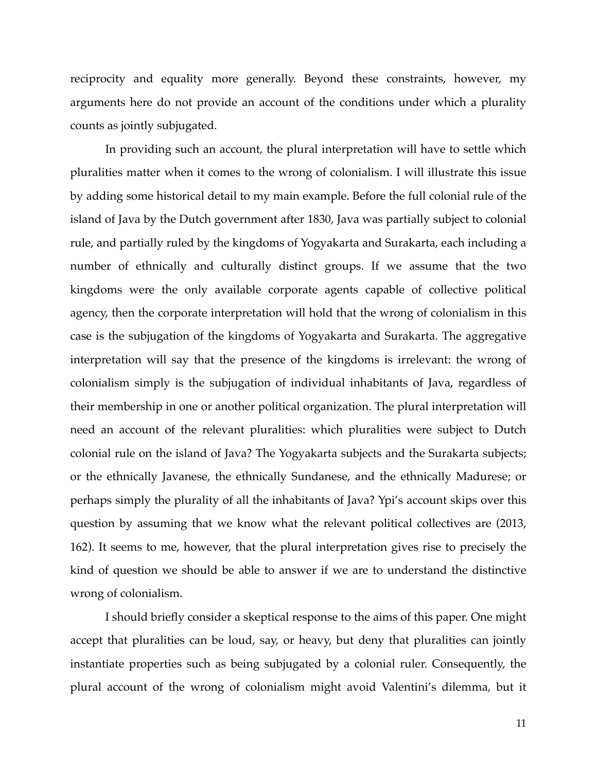reciprocity and equality more generally. Beyond these constraints, however, my arguments here do not provide an account of the conditions under which a plurality counts as jointly subjugated.

In providing such an account, the plural interpretation will have to settle which pluralities matter when it comes to the wrong of colonialism. I will illustrate this issue by adding some historical detail to my main example. Before the full colonial rule of the island of Java by the Dutch government after 1830, Java was partially subject to colonial rule, and partially ruled by the kingdoms of Yogyakarta and Surakarta, each including a number of ethnically and culturally distinct groups. If we assume that the two kingdoms were the only available corporate agents capable of collective political agency, then the corporate interpretation will hold that the wrong of colonialism in this case is the subjugation of the kingdoms of Yogyakarta and Surakarta. The aggregative interpretation will say that the presence of the kingdoms is irrelevant: the wrong of colonialism simply is the subjugation of individual inhabitants of Java, regardless of their membership in one or another political organization. The plural interpretation will need an account of the relevant pluralities: which pluralities were subject to Dutch colonial rule on the island of Java? The Yogyakarta subjects and the Surakarta subjects; or the ethnically Javanese, the ethnically Sundanese, and the ethnically Madurese; or perhaps simply the plurality of all the inhabitants of Java? Ypi's account skips over this question by assuming that we know what the relevant political collectives are (2013, 162). It seems to me, however, that the plural interpretation gives rise to precisely the kind of question we should be able to answer if we are to understand the distinctive wrong of colonialism.

I should briefly consider a skeptical response to the aims of this paper. One might accept that pluralities can be loud, say, or heavy, but deny that pluralities can jointly instantiate properties such as being subjugated by a colonial ruler. Consequently, the plural account of the wrong of colonialism might avoid Valentini's dilemma, but it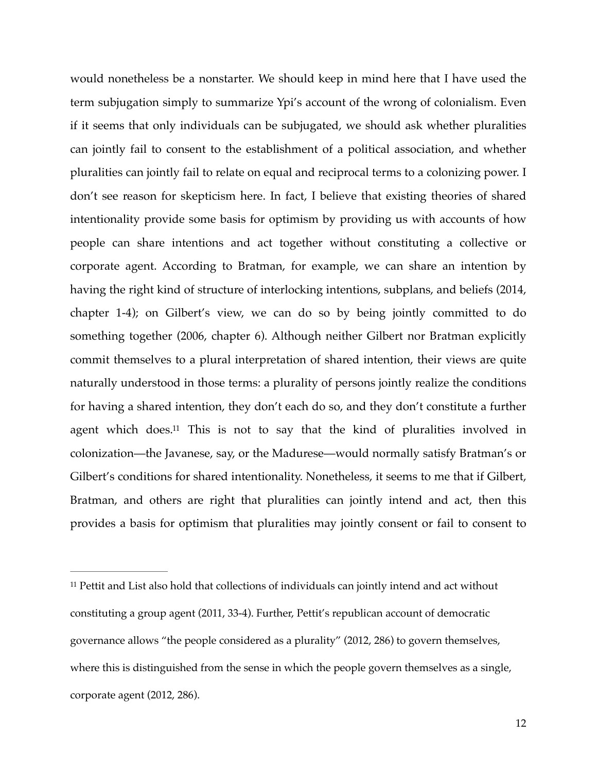would nonetheless be a nonstarter. We should keep in mind here that I have used the term subjugation simply to summarize Ypi's account of the wrong of colonialism. Even if it seems that only individuals can be subjugated, we should ask whether pluralities can jointly fail to consent to the establishment of a political association, and whether pluralities can jointly fail to relate on equal and reciprocal terms to a colonizing power. I don't see reason for skepticism here. In fact, I believe that existing theories of shared intentionality provide some basis for optimism by providing us with accounts of how people can share intentions and act together without constituting a collective or corporate agent. According to Bratman, for example, we can share an intention by having the right kind of structure of interlocking intentions, subplans, and beliefs (2014, chapter 1-4); on Gilbert's view, we can do so by being jointly committed to do something together (2006, chapter 6). Although neither Gilbert nor Bratman explicitly commit themselves to a plural interpretation of shared intention, their views are quite naturally understood in those terms: a plurality of persons jointly realize the conditions for having a shared intention, they don't each do so, and they don't constitute a further agent which does[.](#page-11-0)<sup>[11](#page-11-0)</sup> This is not to say that the kind of pluralities involved in colonization—the Javanese, say, or the Madurese—would normally satisfy Bratman's or Gilbert's conditions for shared intentionality. Nonetheless, it seems to me that if Gilbert, Bratman, and others are right that pluralities can jointly intend and act, then this provides a basis for optimism that pluralities may jointly consent or fail to consent to

<span id="page-11-1"></span><span id="page-11-0"></span> $11$  Pettit and List also hold that collections of individuals can jointly intend and act without constituting a group agent (2011, 33-4). Further, Pettit's republican account of democratic governance allows "the people considered as a plurality" (2012, 286) to govern themselves, where this is distinguished from the sense in which the people govern themselves as a single, corporate agent (2012, 286).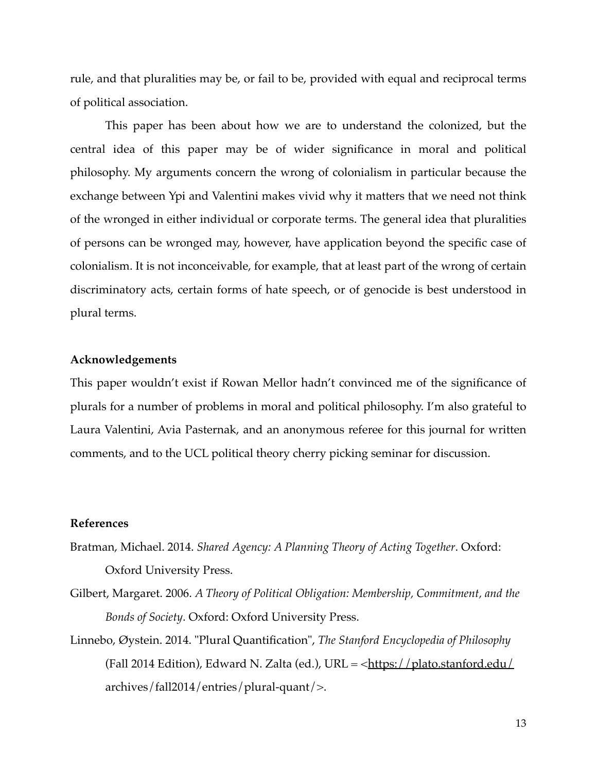rule, and that pluralities may be, or fail to be, provided with equal and reciprocal terms of political association.

This paper has been about how we are to understand the colonized, but the central idea of this paper may be of wider significance in moral and political philosophy. My arguments concern the wrong of colonialism in particular because the exchange between Ypi and Valentini makes vivid why it matters that we need not think of the wronged in either individual or corporate terms. The general idea that pluralities of persons can be wronged may, however, have application beyond the specific case of colonialism. It is not inconceivable, for example, that at least part of the wrong of certain discriminatory acts, certain forms of hate speech, or of genocide is best understood in plural terms.

### **Acknowledgements**

This paper wouldn't exist if Rowan Mellor hadn't convinced me of the significance of plurals for a number of problems in moral and political philosophy. I'm also grateful to Laura Valentini, Avia Pasternak, and an anonymous referee for this journal for written comments, and to the UCL political theory cherry picking seminar for discussion.

### **References**

- Bratman, Michael. 2014. *Shared Agency: A Planning Theory of Acting Together*. Oxford: Oxford University Press.
- Gilbert, Margaret. 2006. *A Theory of Political Obligation: Membership, Commitment, and the Bonds of Society*. Oxford: Oxford University Press.
- Linnebo, Øystein. 2014. "Plural Quantification", *The Stanford Encyclopedia of Philosophy* (Fall 2014 Edition), Edward N. Zalta (ed.), URL =  $\frac{\text{https://plato.stanford.edu/}}{\text{https://plato.stanford.edu/}}$  $\frac{\text{https://plato.stanford.edu/}}{\text{https://plato.stanford.edu/}}$  $\frac{\text{https://plato.stanford.edu/}}{\text{https://plato.stanford.edu/}}$ archives/fall2014/entries/plural-quant/>.